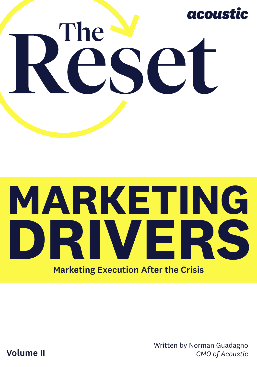

# **MARKETING DRIVERS** Marketing Execution After the Crisis

Written by Norman Guadagno *CMO of Acoustic*

Volume II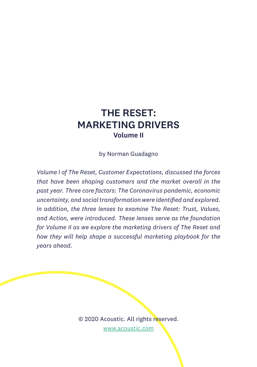## THE RESET: MARKETING DRIVERS Volume II

by Norman Guadagno

*Volume I of The Reset, Customer Expectations, discussed the forces that have been shaping customers and the market overall in the past year. Three core factors: The Coronavirus pandemic, economic uncertainty, and social transformation were identified and explored. In addition, the three lenses to examine The Reset: Trust, Values, and Action, were introduced. These lenses serve as the foundation for Volume II as we explore the marketing drivers of The Reset and how they will help shape a successful marketing playbook for the years ahead.*

> © 2020 Acoustic. All rights reserved. [www.acoustic.com](http://www.acoustic.com)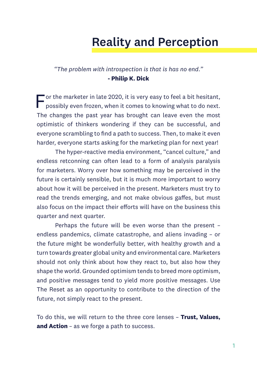# Reality and Perception

#### *"The problem with introspection is that is has no end."* **- Philip K. Dick**

 $\blacksquare$  or the marketer in late 2020, it is very easy to feel a bit hesitant, possibly even frozen, when it comes to knowing what to do next. The changes the past year has brought can leave even the most optimistic of thinkers wondering if they can be successful, and everyone scrambling to find a path to success. Then, to make it even harder, everyone starts asking for the marketing plan for next year!

The hyper-reactive media environment, "cancel culture," and endless retconning can often lead to a form of analysis paralysis for marketers. Worry over how something may be perceived in the future is certainly sensible, but it is much more important to worry about how it will be perceived in the present. Marketers must try to read the trends emerging, and not make obvious gaffes, but must also focus on the impact their efforts will have on the business this quarter and next quarter.

Perhaps the future will be even worse than the present – endless pandemics, climate catastrophe, and aliens invading – or the future might be wonderfully better, with healthy growth and a turn towards greater global unity and environmental care. Marketers should not only think about how they react to, but also how they shape the world. Grounded optimism tends to breed more optimism, and positive messages tend to yield more positive messages. Use The Reset as an opportunity to contribute to the direction of the future, not simply react to the present.

To do this, we will return to the three core lenses – **Trust, Values, and Action** – as we forge a path to success.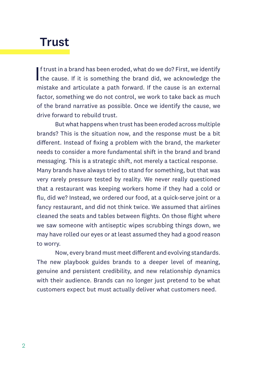## **Trust**

If trust in a brand has been eroded, what do we do? First, we identify<br>the cause. If it is something the brand did, we acknowledge the f trust in a brand has been eroded, what do we do? First, we identify mistake and articulate a path forward. If the cause is an external factor, something we do not control, we work to take back as much of the brand narrative as possible. Once we identify the cause, we drive forward to rebuild trust.

But what happens when trust has been eroded across multiple brands? This is the situation now, and the response must be a bit different. Instead of fixing a problem with the brand, the marketer needs to consider a more fundamental shift in the brand and brand messaging. This is a strategic shift, not merely a tactical response. Many brands have always tried to stand for something, but that was very rarely pressure tested by reality. We never really questioned that a restaurant was keeping workers home if they had a cold or flu, did we? Instead, we ordered our food, at a quick-serve joint or a fancy restaurant, and did not think twice. We assumed that airlines cleaned the seats and tables between flights. On those flight where we saw someone with antiseptic wipes scrubbing things down, we may have rolled our eyes or at least assumed they had a good reason to worry.

Now, every brand must meet different and evolving standards. The new playbook guides brands to a deeper level of meaning, genuine and persistent credibility, and new relationship dynamics with their audience. Brands can no longer just pretend to be what customers expect but must actually deliver what customers need.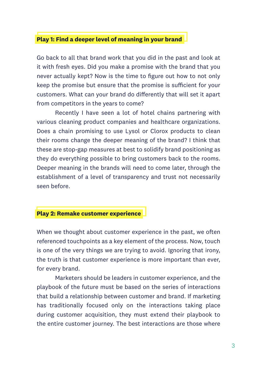#### **Play 1: Find a deeper level of meaning in your brand**

Go back to all that brand work that you did in the past and look at it with fresh eyes. Did you make a promise with the brand that you never actually kept? Now is the time to figure out how to not only keep the promise but ensure that the promise is sufficient for your customers. What can your brand do differently that will set it apart from competitors in the years to come?

Recently I have seen a lot of hotel chains partnering with various cleaning product companies and healthcare organizations. Does a chain promising to use Lysol or Clorox products to clean their rooms change the deeper meaning of the brand? I think that these are stop-gap measures at best to solidify brand positioning as they do everything possible to bring customers back to the rooms. Deeper meaning in the brands will need to come later, through the establishment of a level of transparency and trust not necessarily seen before.

#### **Play 2: Remake customer experience**

When we thought about customer experience in the past, we often referenced touchpoints as a key element of the process. Now, touch is one of the very things we are trying to avoid. Ignoring that irony, the truth is that customer experience is more important than ever, for every brand.

Marketers should be leaders in customer experience, and the playbook of the future must be based on the series of interactions that build a relationship between customer and brand. If marketing has traditionally focused only on the interactions taking place during customer acquisition, they must extend their playbook to the entire customer journey. The best interactions are those where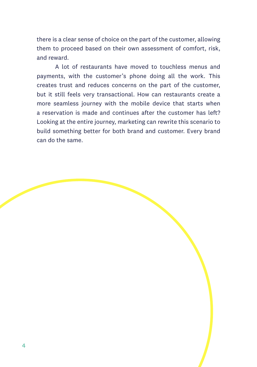there is a clear sense of choice on the part of the customer, allowing them to proceed based on their own assessment of comfort, risk, and reward.

A lot of restaurants have moved to touchless menus and payments, with the customer's phone doing all the work. This creates trust and reduces concerns on the part of the customer, but it still feels very transactional. How can restaurants create a more seamless journey with the mobile device that starts when a reservation is made and continues after the customer has left? Looking at the entire journey, marketing can rewrite this scenario to build something better for both brand and customer. Every brand can do the same.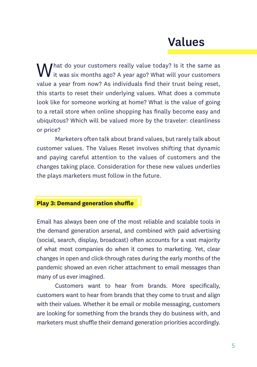# Values

 $\Lambda$  / hat do your customers really value today? Is it the same as  $\bm{V}$  it was six months ago? A year ago? What will your customers value a year from now? As individuals find their trust being reset, this starts to reset their underlying values. What does a commute look like for someone working at home? What is the value of going to a retail store when online shopping has finally become easy and ubiquitous? Which will be valued more by the traveler: cleanliness or price?

Marketers often talk about brand values, but rarely talk about customer values. The Values Reset involves shifting that dynamic and paying careful attention to the values of customers and the changes taking place. Consideration for these new values underlies the plays marketers must follow in the future.

#### **Play 3: Demand generation shuffle**

Email has always been one of the most reliable and scalable tools in the demand generation arsenal, and combined with paid advertising (social, search, display, broadcast) often accounts for a vast majority of what most companies do when it comes to marketing. Yet, clear changes in open and click-through rates during the early months of the pandemic showed an even richer attachment to email messages than many of us ever imagined.

Customers want to hear from brands. More specifically, customers want to hear from brands that they come to trust and align with their values. Whether it be email or mobile messaging, customers are looking for something from the brands they do business with, and marketers must shuffle their demand generation priorities accordingly.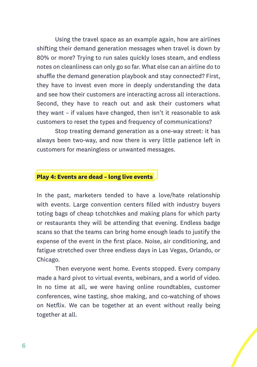Using the travel space as an example again, how are airlines shifting their demand generation messages when travel is down by 80% or more? Trying to run sales quickly loses steam, and endless notes on cleanliness can only go so far. What else can an airline do to shuffle the demand generation playbook and stay connected? First, they have to invest even more in deeply understanding the data and see how their customers are interacting across all interactions. Second, they have to reach out and ask their customers what they want – if values have changed, then isn't it reasonable to ask customers to reset the types and frequency of communications?

Stop treating demand generation as a one-way street: it has always been two-way, and now there is very little patience left in customers for meaningless or unwanted messages.

#### **Play 4: Events are dead – long live events**

In the past, marketers tended to have a love/hate relationship with events. Large convention centers filled with industry buyers toting bags of cheap tchotchkes and making plans for which party or restaurants they will be attending that evening. Endless badge scans so that the teams can bring home enough leads to justify the expense of the event in the first place. Noise, air conditioning, and fatigue stretched over three endless days in Las Vegas, Orlando, or Chicago.

Then everyone went home. Events stopped. Every company made a hard pivot to virtual events, webinars, and a world of video. In no time at all, we were having online roundtables, customer conferences, wine tasting, shoe making, and co-watching of shows on Netflix. We can be together at an event without really being together at all.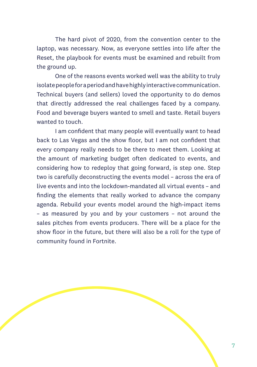The hard pivot of 2020, from the convention center to the laptop, was necessary. Now, as everyone settles into life after the Reset, the playbook for events must be examined and rebuilt from the ground up.

One of the reasons events worked well was the ability to truly isolate people for a period and have highly interactive communication. Technical buyers (and sellers) loved the opportunity to do demos that directly addressed the real challenges faced by a company. Food and beverage buyers wanted to smell and taste. Retail buyers wanted to touch.

I am confident that many people will eventually want to head back to Las Vegas and the show floor, but I am not confident that every company really needs to be there to meet them. Looking at the amount of marketing budget often dedicated to events, and considering how to redeploy that going forward, is step one. Step two is carefully deconstructing the events model – across the era of live events and into the lockdown-mandated all virtual events – and finding the elements that really worked to advance the company agenda. Rebuild your events model around the high-impact items – as measured by you and by your customers – not around the sales pitches from events producers. There will be a place for the show floor in the future, but there will also be a roll for the type of community found in Fortnite.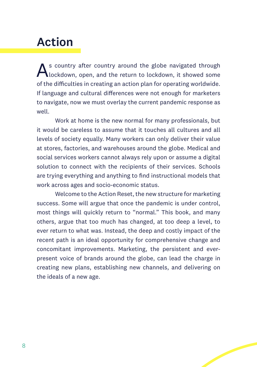# Action

s country after country around the globe navigated through lockdown, open, and the return to lockdown, it showed some of the difficulties in creating an action plan for operating worldwide. If language and cultural differences were not enough for marketers to navigate, now we must overlay the current pandemic response as well.

Work at home is the new normal for many professionals, but it would be careless to assume that it touches all cultures and all levels of society equally. Many workers can only deliver their value at stores, factories, and warehouses around the globe. Medical and social services workers cannot always rely upon or assume a digital solution to connect with the recipients of their services. Schools are trying everything and anything to find instructional models that work across ages and socio-economic status.

Welcome to the Action Reset, the new structure for marketing success. Some will argue that once the pandemic is under control, most things will quickly return to "normal." This book, and many others, argue that too much has changed, at too deep a level, to ever return to what was. Instead, the deep and costly impact of the recent path is an ideal opportunity for comprehensive change and concomitant improvements. Marketing, the persistent and everpresent voice of brands around the globe, can lead the charge in creating new plans, establishing new channels, and delivering on the ideals of a new age.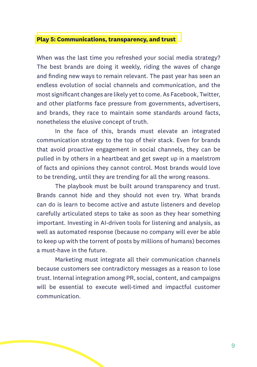#### **Play 5: Communications, transparency, and trust**

When was the last time you refreshed your social media strategy? The best brands are doing it weekly, riding the waves of change and finding new ways to remain relevant. The past year has seen an endless evolution of social channels and communication, and the most significant changes are likely yet to come. As Facebook, Twitter, and other platforms face pressure from governments, advertisers, and brands, they race to maintain some standards around facts, nonetheless the elusive concept of truth.

In the face of this, brands must elevate an integrated communication strategy to the top of their stack. Even for brands that avoid proactive engagement in social channels, they can be pulled in by others in a heartbeat and get swept up in a maelstrom of facts and opinions they cannot control. Most brands would love to be trending, until they are trending for all the wrong reasons.

The playbook must be built around transparency and trust. Brands cannot hide and they should not even try. What brands can do is learn to become active and astute listeners and develop carefully articulated steps to take as soon as they hear something important. Investing in AI-driven tools for listening and analysis, as well as automated response (because no company will ever be able to keep up with the torrent of posts by millions of humans) becomes a must-have in the future.

Marketing must integrate all their communication channels because customers see contradictory messages as a reason to lose trust. Internal integration among PR, social, content, and campaigns will be essential to execute well-timed and impactful customer communication.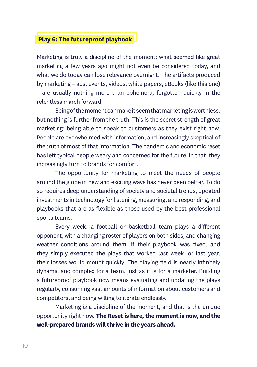#### **Play 6: The futureproof playbook**

Marketing is truly a discipline of the moment; what seemed like great marketing a few years ago might not even be considered today, and what we do today can lose relevance overnight. The artifacts produced by marketing – ads, events, videos, white papers, eBooks (like this one) – are usually nothing more than ephemera, forgotten quickly in the relentless march forward.

Being of the moment can make it seem that marketing is worthless, but nothing is further from the truth. This is the secret strength of great marketing: being able to speak to customers as they exist right now. People are overwhelmed with information, and increasingly skeptical of the truth of most of that information. The pandemic and economic reset has left typical people weary and concerned for the future. In that, they increasingly turn to brands for comfort.

The opportunity for marketing to meet the needs of people around the globe in new and exciting ways has never been better. To do so requires deep understanding of society and societal trends, updated investments in technology for listening, measuring, and responding, and playbooks that are as flexible as those used by the best professional sports teams.

Every week, a football or basketball team plays a different opponent, with a changing roster of players on both sides, and changing weather conditions around them. If their playbook was fixed, and they simply executed the plays that worked last week, or last year, their losses would mount quickly. The playing field is nearly infinitely dynamic and complex for a team, just as it is for a marketer. Building a futureproof playbook now means evaluating and updating the plays regularly, consuming vast amounts of information about customers and competitors, and being willing to iterate endlessly.

Marketing *is* a discipline of the moment, and that is the unique opportunity right now. **The Reset is here, the moment is now, and the well-prepared brands will thrive in the years ahead.**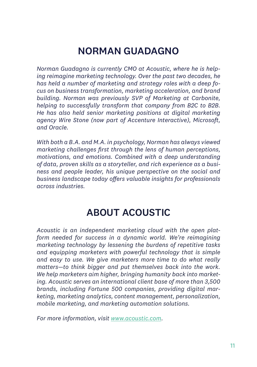## NORMAN GUADAGNO

*Norman Guadagno is currently CMO at Acoustic, where he is helping reimagine marketing technology. Over the past two decades, he has held a number of marketing and strategy roles with a deep focus on business transformation, marketing acceleration, and brand building. Norman was previously SVP of Marketing at Carbonite, helping to successfully transform that company from B2C to B2B. He has also held senior marketing positions at digital marketing agency Wire Stone (now part of Accenture Interactive), Microsoft, and Oracle.*

*With both a B.A. and M.A. in psychology, Norman has always viewed marketing challenges first through the lens of human perceptions, motivations, and emotions. Combined with a deep understanding of data, proven skills as a storyteller, and rich experience as a business and people leader, his unique perspective on the social and business landscape today offers valuable insights for professionals across industries.*

## ABOUT ACOUSTIC

*Acoustic is an independent marketing cloud with the open platform needed for success in a dynamic world. We're reimagining marketing technology by lessening the burdens of repetitive tasks and equipping marketers with powerful technology that is simple and easy to use. We give marketers more time to do what really matters—to think bigger and put themselves back into the work. We help marketers aim higher, bringing humanity back into marketing. Acoustic serves an international client base of more than 3,500 brands, including Fortune 500 companies, providing digital marketing, marketing analytics, content management, personalization, mobile marketing, and marketing automation solutions.*

*For more information, visit [www.acoustic.com.](http://www.acoustic.com)*